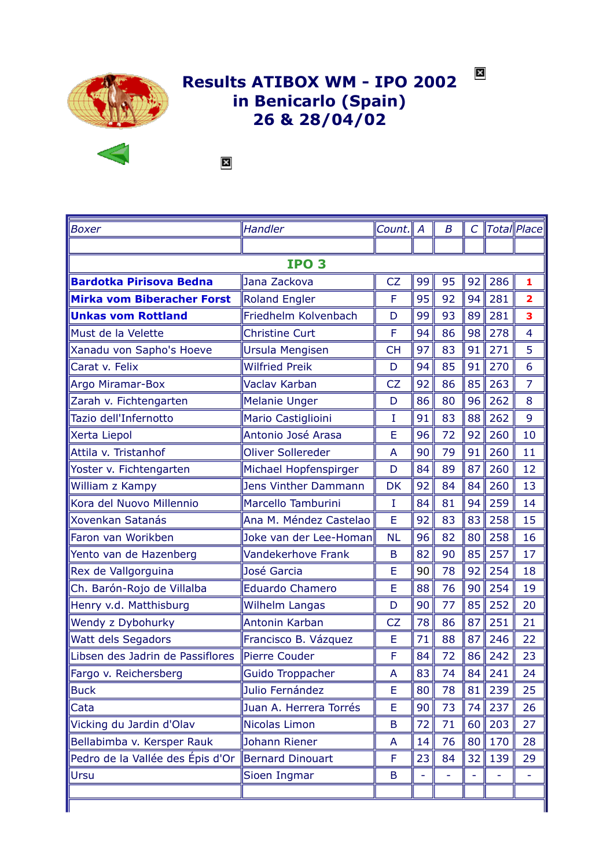

## Results ATIBOX WM - IPO 2002 in Benicarlo (Spain) 26 & 28/04/02



 $\mathbf{\overline{X}}$ 

| <b>Boxer</b>                      | Handler                     | Count.      | A               | B  | $\mathcal{C}$ |     | Total  Place            |  |  |  |
|-----------------------------------|-----------------------------|-------------|-----------------|----|---------------|-----|-------------------------|--|--|--|
|                                   |                             |             |                 |    |               |     |                         |  |  |  |
| IPO <sub>3</sub>                  |                             |             |                 |    |               |     |                         |  |  |  |
| <b>Bardotka Pirisova Bedna</b>    | Jana Zackova                | <b>CZ</b>   | 99              | 95 | 92            | 286 | 1                       |  |  |  |
| <b>Mirka vom Biberacher Forst</b> | <b>Roland Engler</b>        | F           | 95              | 92 | 94            | 281 | $\overline{\mathbf{2}}$ |  |  |  |
| <b>Unkas vom Rottland</b>         | Friedhelm Kolvenbach        | D           | 99              | 93 | 89            | 281 | 3                       |  |  |  |
| Must de la Velette                | <b>Christine Curt</b>       | F           | 94              | 86 | 98            | 278 | $\overline{4}$          |  |  |  |
| Xanadu von Sapho's Hoeve          | <b>Ursula Mengisen</b>      | <b>CH</b>   | 97              | 83 | 91            | 271 | 5                       |  |  |  |
| Carat v. Felix                    | <b>Wilfried Preik</b>       | D           | 94              | 85 | 91            | 270 | 6                       |  |  |  |
| Argo Miramar-Box                  | Vaclav Karban               | <b>CZ</b>   | 92              | 86 | 85            | 263 | $\overline{7}$          |  |  |  |
| Zarah v. Fichtengarten            | <b>Melanie Unger</b>        | D           | 86              | 80 | 96            | 262 | 8                       |  |  |  |
| Tazio dell'Infernotto             | Mario Castiglioini          | I           | 91              | 83 | 88            | 262 | 9                       |  |  |  |
| Xerta Liepol                      | Antonio José Arasa          | E           | 96              | 72 | 92            | 260 | 10                      |  |  |  |
| Attila v. Tristanhof              | <b>Oliver Sollereder</b>    | A           | 90              | 79 | 91            | 260 | 11                      |  |  |  |
| Yoster v. Fichtengarten           | Michael Hopfenspirger       | D           | 84              | 89 | 87            | 260 | 12                      |  |  |  |
| William z Kampy                   | <b>Jens Vinther Dammann</b> | <b>DK</b>   | 92              | 84 | 84            | 260 | 13                      |  |  |  |
| Kora del Nuovo Millennio          | Marcello Tamburini          | $\mathbf I$ | 84              | 81 | 94            | 259 | 14                      |  |  |  |
| <b>Xovenkan Satanás</b>           | Ana M. Méndez Castelao      | E           | 92              | 83 | 83            | 258 | 15                      |  |  |  |
| Faron van Worikben                | Joke van der Lee-Homan      | <b>NL</b>   | 96              | 82 | 80            | 258 | 16                      |  |  |  |
| Yento van de Hazenberg            | <b>Vandekerhove Frank</b>   | B           | 82              | 90 | 85            | 257 | 17                      |  |  |  |
| Rex de Vallgorguina               | José Garcia                 | E           | 90              | 78 | 92            | 254 | 18                      |  |  |  |
| Ch. Barón-Rojo de Villalba        | <b>Eduardo Chamero</b>      | E           | 88              | 76 | 90            | 254 | 19                      |  |  |  |
| Henry v.d. Matthisburg            | <b>Wilhelm Langas</b>       | D           | 90              | 77 | 85            | 252 | 20                      |  |  |  |
| Wendy z Dybohurky                 | Antonin Karban              | <b>CZ</b>   | 78              | 86 | 87            | 251 | 21                      |  |  |  |
| <b>Watt dels Segadors</b>         | Francisco B. Vázquez        | E           | 71              | 88 | 87            | 246 | 22                      |  |  |  |
| Libsen des Jadrin de Passiflores  | Pierre Couder               | F           | 84              | 72 | 86            | 242 | 23                      |  |  |  |
| Fargo v. Reichersberg             | Guido Troppacher            | A           | 83              | 74 | 84            | 241 | 24                      |  |  |  |
| <b>Buck</b>                       | Julio Fernández             | Е           | 80 <sub>1</sub> | 78 | 81            | 239 | 25                      |  |  |  |
| Cata                              | Juan A. Herrera Torrés      | E           | 90              | 73 | 74            | 237 | 26                      |  |  |  |
| Vicking du Jardin d'Olav          | Nicolas Limon               | B           | 72              | 71 | 60            | 203 | 27                      |  |  |  |
| Bellabimba v. Kersper Rauk        | Johann Riener               | A           | 14              | 76 | 80            | 170 | 28                      |  |  |  |
| Pedro de la Vallée des Épis d'Or  | Bernard Dinouart            | F           | 23              | 84 | 32            | 139 | 29                      |  |  |  |
| Ursu                              | Sioen Ingmar                | B           | ÷               |    |               |     |                         |  |  |  |
|                                   |                             |             |                 |    |               |     |                         |  |  |  |
|                                   |                             |             |                 |    |               |     |                         |  |  |  |

 $\boldsymbol{\mathsf{x}}$